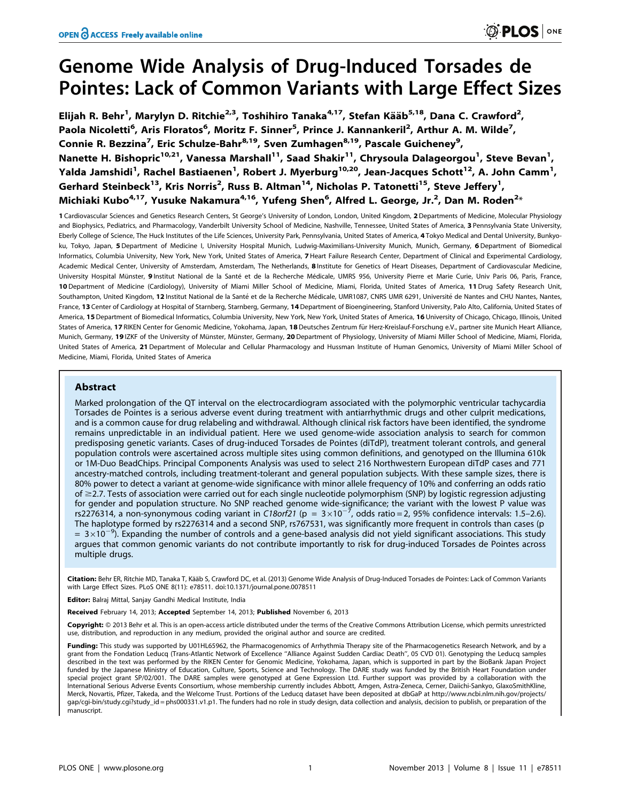# Genome Wide Analysis of Drug-Induced Torsades de Pointes: Lack of Common Variants with Large Effect Sizes

Elijah R. Behr<sup>1</sup>, Marylyn D. Ritchie<sup>2,3</sup>, Toshihiro Tanaka<sup>4,17</sup>, Stefan Kääb<sup>5,18</sup>, Dana C. Crawford<sup>2</sup>, Paola Nicoletti<sup>6</sup>, Aris Floratos<sup>6</sup>, Moritz F. Sinner<sup>5</sup>, Prince J. Kannankeril<sup>2</sup>, Arthur A. M. Wilde<sup>7</sup>, Connie R. Bezzina<sup>7</sup>, Eric Schulze-Bahr<sup>8,19</sup>, Sven Zumhagen<sup>8,19</sup>, Pascale Guicheney<sup>9</sup>, Nanette H. Bishopric<sup>10,21</sup>, Vanessa Marshall<sup>11</sup>, Saad Shakir<sup>11</sup>, Chrysoula Dalageorgou<sup>1</sup>, Steve Bevan<sup>1</sup>, Yalda Jamshidi<sup>1</sup>, Rachel Bastiaenen<sup>1</sup>, Robert J. Myerburg<sup>10,20</sup>, Jean-Jacques Schott<sup>12</sup>, A. John Camm<sup>1</sup>, Gerhard Steinbeck<sup>13</sup>, Kris Norris<sup>2</sup>, Russ B. Altman<sup>14</sup>, Nicholas P. Tatonetti<sup>15</sup>, Steve Jeffery<sup>1</sup>, Michiaki Kubo $^{4,17}$ , Yusuke Nakamura $^{4,16}$ , Yufeng Shen $^6$ , Alfred L. George, Jr. $^2$ , Dan M. Roden $^{2_\ast}$ 

1 Cardiovascular Sciences and Genetics Research Centers, St George's University of London, London, United Kingdom, 2 Departments of Medicine, Molecular Physiology and Biophysics, Pediatrics, and Pharmacology, Vanderbilt University School of Medicine, Nashville, Tennessee, United States of America, 3 Pennsylvania State University, Eberly College of Science, The Huck Institutes of the Life Sciences, University Park, Pennsylvania, United States of America, 4 Tokyo Medical and Dental University, Bunkyoku, Tokyo, Japan, 5 Department of Medicine I, University Hospital Munich, Ludwig-Maximilians-University Munich, Munich, Germany, 6 Department of Biomedical Informatics, Columbia University, New York, New York, United States of America, 7 Heart Failure Research Center, Department of Clinical and Experimental Cardiology, Academic Medical Center, University of Amsterdam, Amsterdam, The Netherlands, 8 Institute for Genetics of Heart Diseases, Department of Cardiovascular Medicine, University Hospital Münster, 9 Institut National de la Santé et de la Recherche Médicale, UMRS 956, University Pierre et Marie Curie, Univ Paris 06, Paris, France, 10 Department of Medicine (Cardiology), University of Miami Miller School of Medicine, Miami, Florida, United States of America, 11 Drug Safety Research Unit, Southampton, United Kingdom, 12 Institut National de la Santé et de la Recherche Médicale, UMR1087, CNRS UMR 6291, Université de Nantes and CHU Nantes, Nantes, France, 13 Center of Cardiology at Hospital of Starnberg, Starnberg, Germany, 14 Department of Bioengineering, Stanford University, Palo Alto, California, United States of America, 15 Department of Biomedical Informatics, Columbia University, New York, New York, United States of America, 16 University of Chicago, Chicago, Illinois, United States of America, 17 RIKEN Center for Genomic Medicine, Yokohama, Japan, 18 Deutsches Zentrum für Herz-Kreislauf-Forschung e.V., partner site Munich Heart Alliance, Munich, Germany, 19 IZKF of the University of Münster, Münster, Germany, 20 Department of Physiology, University of Miami Miller School of Medicine, Miami, Florida, United States of America, 21 Department of Molecular and Cellular Pharmacology and Hussman Institute of Human Genomics, University of Miami Miller School of Medicine, Miami, Florida, United States of America

# Abstract

Marked prolongation of the QT interval on the electrocardiogram associated with the polymorphic ventricular tachycardia Torsades de Pointes is a serious adverse event during treatment with antiarrhythmic drugs and other culprit medications, and is a common cause for drug relabeling and withdrawal. Although clinical risk factors have been identified, the syndrome remains unpredictable in an individual patient. Here we used genome-wide association analysis to search for common predisposing genetic variants. Cases of drug-induced Torsades de Pointes (diTdP), treatment tolerant controls, and general population controls were ascertained across multiple sites using common definitions, and genotyped on the Illumina 610k or 1M-Duo BeadChips. Principal Components Analysis was used to select 216 Northwestern European diTdP cases and 771 ancestry-matched controls, including treatment-tolerant and general population subjects. With these sample sizes, there is 80% power to detect a variant at genome-wide significance with minor allele frequency of 10% and conferring an odds ratio of  $\geq$  2.7. Tests of association were carried out for each single nucleotide polymorphism (SNP) by logistic regression adjusting for gender and population structure. No SNP reached genome wide-significance; the variant with the lowest P value was rs2276314, a non-synonymous coding variant in C18orf21 (p =  $3\times10^{-7}$ , odds ratio = 2, 95% confidence intervals: 1.5–2.6). The haplotype formed by rs2276314 and a second SNP, rs767531, was significantly more frequent in controls than cases (p  $= 3\times10^{-9}$ ). Expanding the number of controls and a gene-based analysis did not yield significant associations. This study argues that common genomic variants do not contribute importantly to risk for drug-induced Torsades de Pointes across multiple drugs.

Citation: Behr ER, Ritchie MD, Tanaka T, Kääb S, Crawford DC, et al. (2013) Genome Wide Analysis of Drug-Induced Torsades de Pointes: Lack of Common Variants with Large Effect Sizes. PLoS ONE 8(11): e78511. doi:10.1371/journal.pone.0078511

Editor: Balraj Mittal, Sanjay Gandhi Medical Institute, India

Received February 14, 2013; Accepted September 14, 2013; Published November 6, 2013

Copyright: © 2013 Behr et al. This is an open-access article distributed under the terms of the Creative Commons Attribution License, which permits unrestricted use, distribution, and reproduction in any medium, provided the original author and source are credited.

Funding: This study was supported by U01HL65962, the Pharmacogenomics of Arrhythmia Therapy site of the Pharmacogenetics Research Network, and by a grant from the Fondation Leducq (Trans-Atlantic Network of Excellence ''Alliance Against Sudden Cardiac Death'', 05 CVD 01). Genotyping the Leducq samples described in the text was performed by the RIKEN Center for Genomic Medicine, Yokohama, Japan, which is supported in part by the BioBank Japan Project funded by the Japanese Ministry of Education, Culture, Sports, Science and Technology. The DARE study was funded by the British Heart Foundation under special project grant SP/02/001. The DARE samples were genotyped at Gene Expression Ltd. Further support was provided by a collaboration with the International Serious Adverse Events Consortium, whose membership currently includes Abbott, Amgen, Astra-Zeneca, Cerner, Daiichi-Sankyo, GlaxoSmithKline, Merck, Novartis, Pfizer, Takeda, and the Welcome Trust. Portions of the Leducq dataset have been deposited at dbGaP at http://www.ncbi.nlm.nih.gov/projects/ gap/cgi-bin/study.cgi?study\_id = phs000331.v1.p1. The funders had no role in study design, data collection and analysis, decision to publish, or preparation of the manuscript.

**DIDS** ONE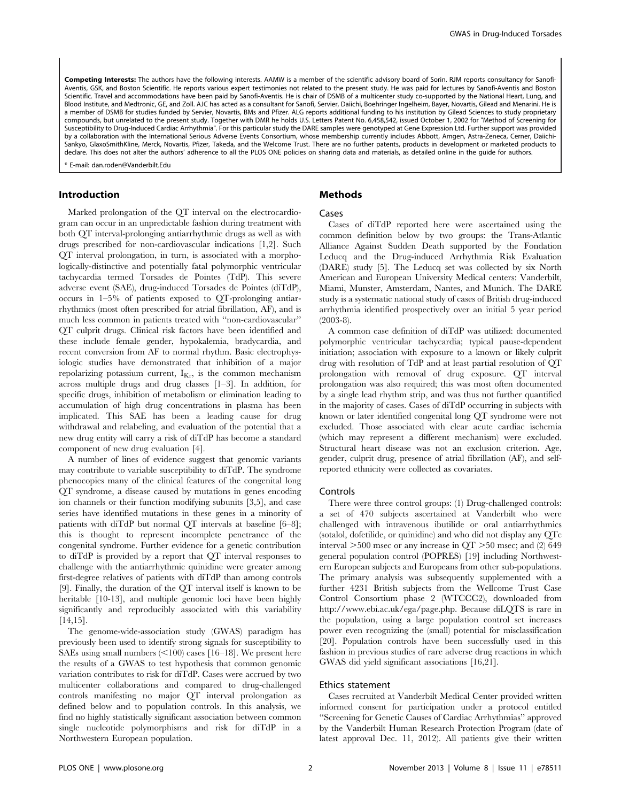Competing Interests: The authors have the following interests. AAMW is a member of the scientific advisory board of Sorin. RJM reports consultancy for Sanofi-Aventis, GSK, and Boston Scientific. He reports various expert testimonies not related to the present study. He was paid for lectures by Sanofi-Aventis and Boston Scientific. Travel and accommodations have been paid by Sanofi-Aventis. He is chair of DSMB of a multicenter study co-supported by the National Heart, Lung, and Blood Institute, and Medtronic, GE, and Zoll. AJC has acted as a consultant for Sanofi, Servier, Daiichi, Boehringer Ingelheim, Bayer, Novartis, Gilead and Menarini. He is a member of DSMB for studies funded by Servier, Novartis, BMs and Pfizer. ALG reports additional funding to his institution by Gilead Sciences to study proprietary compounds, but unrelated to the present study. Together with DMR he holds U.S. Letters Patent No. 6,458,542, issued October 1, 2002 for "Method of Screening for Susceptibility to Drug-Induced Cardiac Arrhythmia". For this particular study the DARE samples were genotyped at Gene Expression Ltd. Further support was provided by a collaboration with the International Serious Adverse Events Consortium, whose membership currently includes Abbott, Amgen, Astra-Zeneca, Cerner, Daiichi-Sankyo, GlaxoSmithKline, Merck, Novartis, Pfizer, Takeda, and the Welcome Trust. There are no further patents, products in development or marketed products to declare. This does not alter the authors' adherence to all the PLOS ONE policies on sharing data and materials, as detailed online in the guide for authors.

\* E-mail: dan.roden@Vanderbilt.Edu

# Introduction

Marked prolongation of the QT interval on the electrocardiogram can occur in an unpredictable fashion during treatment with both QT interval-prolonging antiarrhythmic drugs as well as with drugs prescribed for non-cardiovascular indications [1,2]. Such QT interval prolongation, in turn, is associated with a morphologically-distinctive and potentially fatal polymorphic ventricular tachycardia termed Torsades de Pointes (TdP). This severe adverse event (SAE), drug-induced Torsades de Pointes (diTdP), occurs in 1–5% of patients exposed to QT-prolonging antiarrhythmics (most often prescribed for atrial fibrillation, AF), and is much less common in patients treated with ''non-cardiovascular'' QT culprit drugs. Clinical risk factors have been identified and these include female gender, hypokalemia, bradycardia, and recent conversion from AF to normal rhythm. Basic electrophysiologic studies have demonstrated that inhibition of a major repolarizing potassium current,  $I_{Kr}$ , is the common mechanism across multiple drugs and drug classes [1–3]. In addition, for specific drugs, inhibition of metabolism or elimination leading to accumulation of high drug concentrations in plasma has been implicated. This SAE has been a leading cause for drug withdrawal and relabeling, and evaluation of the potential that a new drug entity will carry a risk of diTdP has become a standard component of new drug evaluation [4].

A number of lines of evidence suggest that genomic variants may contribute to variable susceptibility to diTdP. The syndrome phenocopies many of the clinical features of the congenital long QT syndrome, a disease caused by mutations in genes encoding ion channels or their function modifying subunits [3,5], and case series have identified mutations in these genes in a minority of patients with diTdP but normal QT intervals at baseline [6–8]; this is thought to represent incomplete penetrance of the congenital syndrome. Further evidence for a genetic contribution to diTdP is provided by a report that QT interval responses to challenge with the antiarrhythmic quinidine were greater among first-degree relatives of patients with diTdP than among controls [9]. Finally, the duration of the QT interval itself is known to be heritable [10-13], and multiple genomic loci have been highly significantly and reproducibly associated with this variability [14,15].

The genome-wide-association study (GWAS) paradigm has previously been used to identify strong signals for susceptibility to SAEs using small numbers  $(<100$ ) cases [16–18]. We present here the results of a GWAS to test hypothesis that common genomic variation contributes to risk for diTdP. Cases were accrued by two multicenter collaborations and compared to drug-challenged controls manifesting no major QT interval prolongation as defined below and to population controls. In this analysis, we find no highly statistically significant association between common single nucleotide polymorphisms and risk for diTdP in a Northwestern European population.

# Methods

#### Cases

Cases of diTdP reported here were ascertained using the common definition below by two groups: the Trans-Atlantic Alliance Against Sudden Death supported by the Fondation Leducq and the Drug-induced Arrhythmia Risk Evaluation (DARE) study [5]. The Leducq set was collected by six North American and European University Medical centers: Vanderbilt, Miami, Munster, Amsterdam, Nantes, and Munich. The DARE study is a systematic national study of cases of British drug-induced arrhythmia identified prospectively over an initial 5 year period (2003-8).

A common case definition of diTdP was utilized: documented polymorphic ventricular tachycardia; typical pause-dependent initiation; association with exposure to a known or likely culprit drug with resolution of TdP and at least partial resolution of QT prolongation with removal of drug exposure. QT interval prolongation was also required; this was most often documented by a single lead rhythm strip, and was thus not further quantified in the majority of cases. Cases of diTdP occurring in subjects with known or later identified congenital long QT syndrome were not excluded. Those associated with clear acute cardiac ischemia (which may represent a different mechanism) were excluded. Structural heart disease was not an exclusion criterion. Age, gender, culprit drug, presence of atrial fibrillation (AF), and selfreported ethnicity were collected as covariates.

# Controls

There were three control groups: (1) Drug-challenged controls: a set of 470 subjects ascertained at Vanderbilt who were challenged with intravenous ibutilide or oral antiarrhythmics (sotalol, dofetilide, or quinidine) and who did not display any QTc interval  $>500$  msec or any increase in  $QT > 50$  msec; and (2) 649 general population control (POPRES) [19] including Northwestern European subjects and Europeans from other sub-populations. The primary analysis was subsequently supplemented with a further 4231 British subjects from the Wellcome Trust Case Control Consortium phase 2 (WTCCC2), downloaded from http://www.ebi.ac.uk/ega/page.php. Because diLQTS is rare in the population, using a large population control set increases power even recognizing the (small) potential for misclassification [20]. Population controls have been successfully used in this fashion in previous studies of rare adverse drug reactions in which GWAS did yield significant associations [16,21].

## Ethics statement

Cases recruited at Vanderbilt Medical Center provided written informed consent for participation under a protocol entitled ''Screening for Genetic Causes of Cardiac Arrhythmias'' approved by the Vanderbilt Human Research Protection Program (date of latest approval Dec. 11, 2012). All patients give their written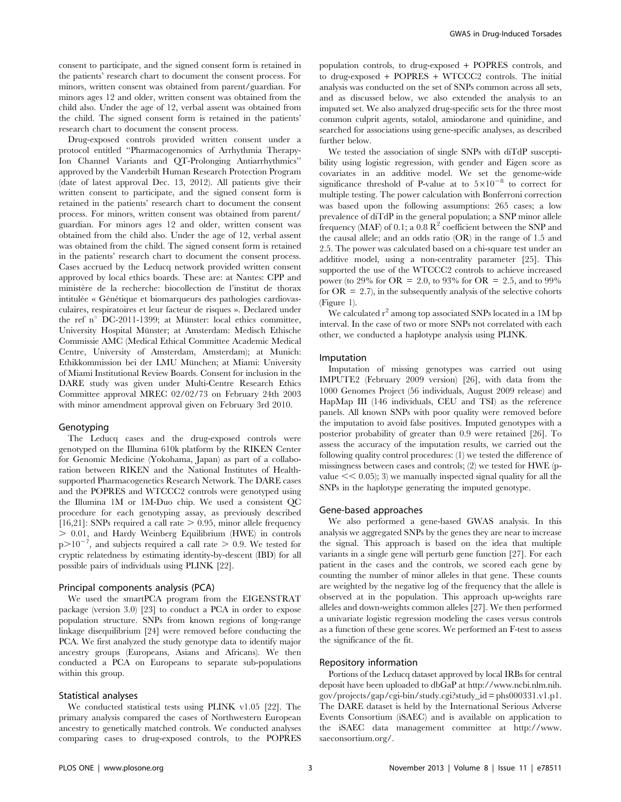consent to participate, and the signed consent form is retained in the patients' research chart to document the consent process. For minors, written consent was obtained from parent/guardian. For minors ages 12 and older, written consent was obtained from the child also. Under the age of 12, verbal assent was obtained from the child. The signed consent form is retained in the patients' research chart to document the consent process.

Drug-exposed controls provided written consent under a protocol entitled ''Pharmacogenomics of Arrhythmia Therapy-Ion Channel Variants and QT-Prolonging Antiarrhythmics'' approved by the Vanderbilt Human Research Protection Program (date of latest approval Dec. 13, 2012). All patients give their written consent to participate, and the signed consent form is retained in the patients' research chart to document the consent process. For minors, written consent was obtained from parent/ guardian. For minors ages 12 and older, written consent was obtained from the child also. Under the age of 12, verbal assent was obtained from the child. The signed consent form is retained in the patients' research chart to document the consent process. Cases accrued by the Leducq network provided written consent approved by local ethics boards. These are: at Nantes: CPP and ministère de la recherche: biocollection de l'institut de thorax intitulée « Génétique et biomarqueurs des pathologies cardiovasculaires, respiratoires et leur facteur de risques ». Declared under the ref n° DC-2011-1399; at Münster: local ethics committee, University Hospital Münster; at Amsterdam: Medisch Ethische Commissie AMC (Medical Ethical Committee Academic Medical Centre, University of Amsterdam, Amsterdam); at Munich: Ethikkommission bei der LMU München; at Miami: University of Miami Institutional Review Boards. Consent for inclusion in the DARE study was given under Multi-Centre Research Ethics Committee approval MREC 02/02/73 on February 24th 2003 with minor amendment approval given on February 3rd 2010.

## Genotyping

The Leducq cases and the drug-exposed controls were genotyped on the Illumina 610k platform by the RIKEN Center for Genomic Medicine (Yokohama, Japan) as part of a collaboration between RIKEN and the National Institutes of Healthsupported Pharmacogenetics Research Network. The DARE cases and the POPRES and WTCCC2 controls were genotyped using the Illumina 1M or 1M-Duo chip. We used a consistent QC procedure for each genotyping assay, as previously described [16,21]: SNPs required a call rate  $> 0.95$ , minor allele frequency  $> 0.01$ , and Hardy Weinberg Equilibrium (HWE) in controls  $p > 10^{-7}$ , and subjects required a call rate  $> 0.9$ . We tested for cryptic relatedness by estimating identity-by-descent (IBD) for all possible pairs of individuals using PLINK [22].

#### Principal components analysis (PCA)

We used the smartPCA program from the EIGENSTRAT package (version 3.0) [23] to conduct a PCA in order to expose population structure. SNPs from known regions of long-range linkage disequilibrium [24] were removed before conducting the PCA. We first analyzed the study genotype data to identify major ancestry groups (Europeans, Asians and Africans). We then conducted a PCA on Europeans to separate sub-populations within this group.

# Statistical analyses

We conducted statistical tests using PLINK v1.05 [22]. The primary analysis compared the cases of Northwestern European ancestry to genetically matched controls. We conducted analyses comparing cases to drug-exposed controls, to the POPRES population controls, to drug-exposed + POPRES controls, and to drug-exposed + POPRES + WTCCC2 controls. The initial analysis was conducted on the set of SNPs common across all sets, and as discussed below, we also extended the analysis to an imputed set. We also analyzed drug-specific sets for the three most common culprit agents, sotalol, amiodarone and quinidine, and searched for associations using gene-specific analyses, as described further below.

We tested the association of single SNPs with diTdP susceptibility using logistic regression, with gender and Eigen score as covariates in an additive model. We set the genome-wide significance threshold of P-value at to  $5\times10^{-8}$  to correct for multiple testing. The power calculation with Bonferroni correction was based upon the following assumptions: 265 cases; a low prevalence of diTdP in the general population; a SNP minor allele frequency (MAF) of 0.1; a 0.8  $\mathbb{R}^2$  coefficient between the SNP and the causal allele; and an odds ratio (OR) in the range of 1.5 and 2.5. The power was calculated based on a chi-square test under an additive model, using a non-centrality parameter [25]. This supported the use of the WTCCC2 controls to achieve increased power (to 29% for OR = 2.0, to 93% for OR = 2.5, and to 99% for  $OR = 2.7$ , in the subsequently analysis of the selective cohorts (Figure 1).

We calculated  $r^2$  among top associated SNPs located in a 1M bp interval. In the case of two or more SNPs not correlated with each other, we conducted a haplotype analysis using PLINK.

#### Imputation

Imputation of missing genotypes was carried out using IMPUTE2 (February 2009 version) [26], with data from the 1000 Genomes Project (56 individuals, August 2009 release) and HapMap III (146 individuals, CEU and TSI) as the reference panels. All known SNPs with poor quality were removed before the imputation to avoid false positives. Imputed genotypes with a posterior probability of greater than 0.9 were retained [26]. To assess the accuracy of the imputation results, we carried out the following quality control procedures: (1) we tested the difference of missingness between cases and controls; (2) we tested for HWE (pvalue  $<< 0.05$ ; 3) we manually inspected signal quality for all the SNPs in the haplotype generating the imputed genotype.

#### Gene-based approaches

We also performed a gene-based GWAS analysis. In this analysis we aggregated SNPs by the genes they are near to increase the signal. This approach is based on the idea that multiple variants in a single gene will perturb gene function [27]. For each patient in the cases and the controls, we scored each gene by counting the number of minor alleles in that gene. These counts are weighted by the negative log of the frequency that the allele is observed at in the population. This approach up-weights rare alleles and down-weights common alleles [27]. We then performed a univariate logistic regression modeling the cases versus controls as a function of these gene scores. We performed an F-test to assess the significance of the fit.

# Repository information

Portions of the Leducq dataset approved by local IRBs for central deposit have been uploaded to dbGaP at http://www.ncbi.nlm.nih. gov/projects/gap/cgi-bin/study.cgi?study\_id = phs000331.v1.p1. The DARE dataset is held by the International Serious Adverse Events Consortium (iSAEC) and is available on application to the iSAEC data management committee at http://www. saeconsortium.org/.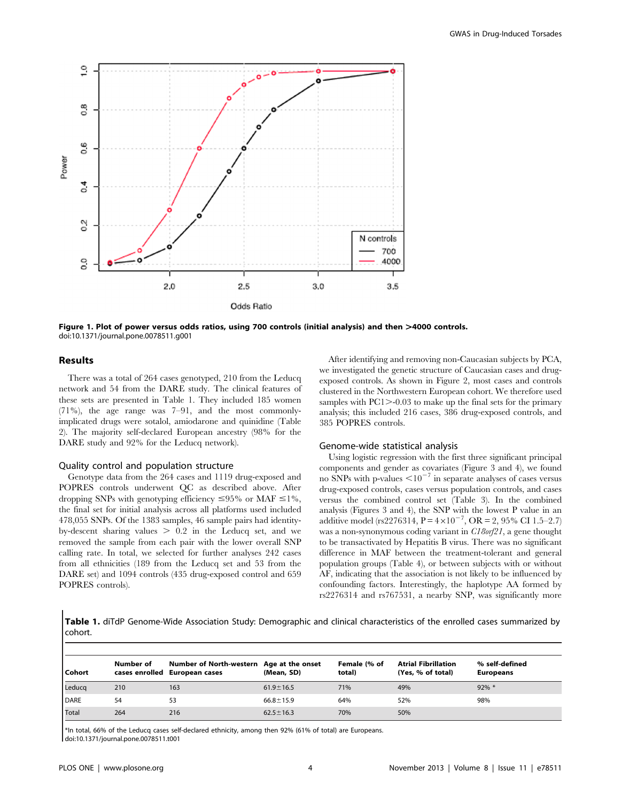

Figure 1. Plot of power versus odds ratios, using 700 controls (initial analysis) and then >4000 controls. doi:10.1371/journal.pone.0078511.g001

## Results

There was a total of 264 cases genotyped, 210 from the Leducq network and 54 from the DARE study. The clinical features of these sets are presented in Table 1. They included 185 women (71%), the age range was 7–91, and the most commonlyimplicated drugs were sotalol, amiodarone and quinidine (Table 2). The majority self-declared European ancestry (98% for the DARE study and 92% for the Leducq network).

## Quality control and population structure

Genotype data from the 264 cases and 1119 drug-exposed and POPRES controls underwent QC as described above. After dropping SNPs with genotyping efficiency  $\leq 95\%$  or MAF  $\leq 1\%$ , the final set for initial analysis across all platforms used included 478,055 SNPs. Of the 1383 samples, 46 sample pairs had identityby-descent sharing values  $> 0.2$  in the Leducq set, and we removed the sample from each pair with the lower overall SNP calling rate. In total, we selected for further analyses 242 cases from all ethnicities (189 from the Leducq set and 53 from the DARE set) and 1094 controls (435 drug-exposed control and 659 POPRES controls).

After identifying and removing non-Caucasian subjects by PCA, we investigated the genetic structure of Caucasian cases and drugexposed controls. As shown in Figure 2, most cases and controls clustered in the Northwestern European cohort. We therefore used samples with  $PC1$  $>$ -0.03 to make up the final sets for the primary analysis; this included 216 cases, 386 drug-exposed controls, and 385 POPRES controls.

#### Genome-wide statistical analysis

Using logistic regression with the first three significant principal components and gender as covariates (Figure 3 and 4), we found no SNPs with p-values  $\leq 10^{-7}$  in separate analyses of cases versus drug-exposed controls, cases versus population controls, and cases versus the combined control set (Table 3). In the combined analysis (Figures 3 and 4), the SNP with the lowest P value in an additive model (rs2276314,  $P = 4 \times 10^{-7}$ , OR = 2, 95% CI 1.5–2.7) was a non-synonymous coding variant in C18orf21, a gene thought to be transactivated by Hepatitis B virus. There was no significant difference in MAF between the treatment-tolerant and general population groups (Table 4), or between subjects with or without AF, indicating that the association is not likely to be influenced by confounding factors. Interestingly, the haplotype AA formed by rs2276314 and rs767531, a nearby SNP, was significantly more

Table 1. diTdP Genome-Wide Association Study: Demographic and clinical characteristics of the enrolled cases summarized by cohort.

| Cohort      | Number of | Number of North-western Age at the onset<br>cases enrolled European cases | (Mean, SD)      | Female (% of<br>total) | <b>Atrial Fibrillation</b><br>(Yes, % of total) | % self-defined<br><b>Europeans</b> |
|-------------|-----------|---------------------------------------------------------------------------|-----------------|------------------------|-------------------------------------------------|------------------------------------|
| Leducq      | 210       | 163                                                                       | $61.9 \pm 16.5$ | 71%                    | 49%                                             | $92\%$ *                           |
| <b>DARE</b> | 54        | 53                                                                        | $66.8 \pm 15.9$ | 64%                    | 52%                                             | 98%                                |
| Total       | 264       | 216                                                                       | $62.5 \pm 16.3$ | 70%                    | 50%                                             |                                    |

\*In total, 66% of the Leducq cases self-declared ethnicity, among then 92% (61% of total) are Europeans. doi:10.1371/journal.pone.0078511.t001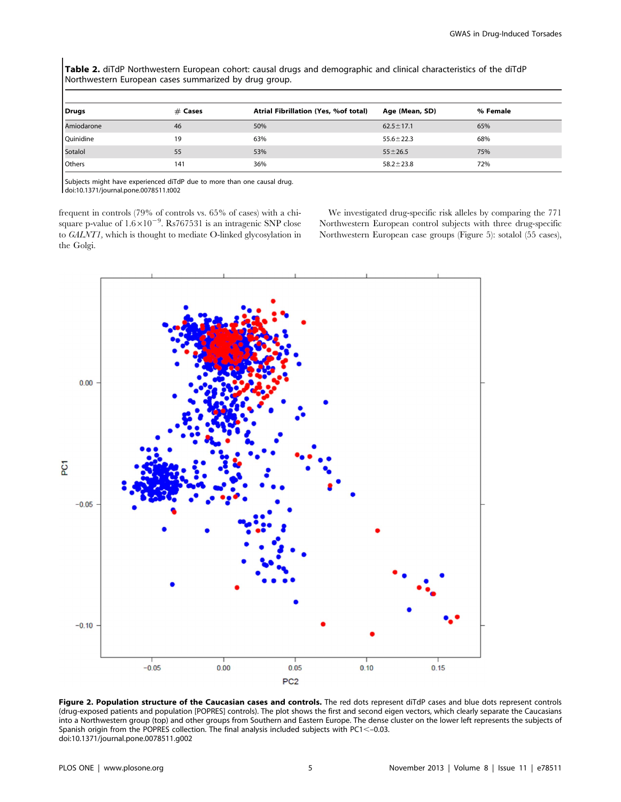Table 2. diTdP Northwestern European cohort: causal drugs and demographic and clinical characteristics of the diTdP Northwestern European cases summarized by drug group.

| Drugs      | $#$ Cases | Atrial Fibrillation (Yes, %of total) | Age (Mean, SD)  | % Female |
|------------|-----------|--------------------------------------|-----------------|----------|
| Amiodarone | 46        | 50%                                  | $62.5 \pm 17.1$ | 65%      |
| Quinidine  | 19        | 63%                                  | $55.6 \pm 22.3$ | 68%      |
| Sotalol    | 55        | 53%                                  | $55 \pm 26.5$   | 75%      |
| Others     | 141       | 36%                                  | $58.2 \pm 23.8$ | 72%      |

Subjects might have experienced diTdP due to more than one causal drug. doi:10.1371/journal.pone.0078511.t002

frequent in controls (79% of controls vs. 65% of cases) with a chisquare p-value of  $1.6 \times 10^{-9}$ . Rs767531 is an intragenic SNP close to GALNT1, which is thought to mediate O-linked glycosylation in the Golgi.

We investigated drug-specific risk alleles by comparing the 771 Northwestern European control subjects with three drug-specific Northwestern European case groups (Figure 5): sotalol (55 cases),



Figure 2. Population structure of the Caucasian cases and controls. The red dots represent diTdP cases and blue dots represent controls (drug-exposed patients and population [POPRES] controls). The plot shows the first and second eigen vectors, which clearly separate the Caucasians into a Northwestern group (top) and other groups from Southern and Eastern Europe. The dense cluster on the lower left represents the subjects of Spanish origin from the POPRES collection. The final analysis included subjects with PC1<-0.03. doi:10.1371/journal.pone.0078511.g002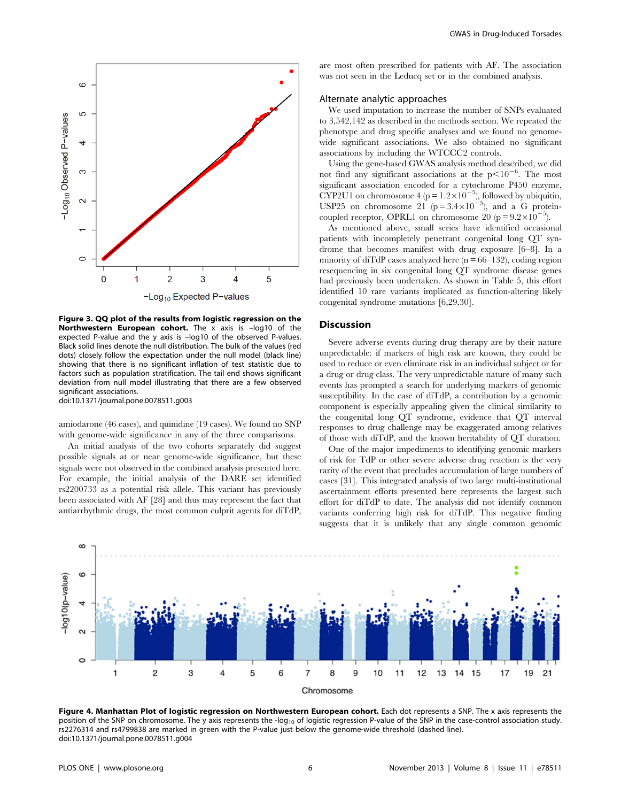

Figure 3. QQ plot of the results from logistic regression on the Northwestern European cohort. The x axis is -log10 of the expected P-value and the y axis is –log10 of the observed P-values. Black solid lines denote the null distribution. The bulk of the values (red dots) closely follow the expectation under the null model (black line) showing that there is no significant inflation of test statistic due to factors such as population stratification. The tail end shows significant deviation from null model illustrating that there are a few observed significant associations.

doi:10.1371/journal.pone.0078511.g003

amiodarone (46 cases), and quinidine (19 cases). We found no SNP with genome-wide significance in any of the three comparisons.

An initial analysis of the two cohorts separately did suggest possible signals at or near genome-wide significance, but these signals were not observed in the combined analysis presented here. For example, the initial analysis of the DARE set identified rs2200733 as a potential risk allele. This variant has previously been associated with AF [28] and thus may represent the fact that antiarrhythmic drugs, the most common culprit agents for diTdP,

are most often prescribed for patients with AF. The association was not seen in the Leducq set or in the combined analysis.

# Alternate analytic approaches

We used imputation to increase the number of SNPs evaluated to 3,542,142 as described in the methods section. We repeated the phenotype and drug specific analyses and we found no genomewide significant associations. We also obtained no significant associations by including the WTCCC2 controls.

Using the gene-based GWAS analysis method described, we did not find any significant associations at the  $p<10^{-6}$ . The most significant association encoded for a cytochrome P450 enzyme, CYP2U1 on chromosome  $4 (p = 1.2 \times 10^{-5})$ , followed by ubiquitin, USP25 on chromosome 21 ( $p = 3.4 \times 10^{-5}$ ), and a G proteincoupled receptor, OPRL1 on chromosome 20 ( $p = 9.2 \times 10^{-5}$ ).

As mentioned above, small series have identified occasional patients with incompletely penetrant congenital long QT syndrome that becomes manifest with drug exposure [6–8]. In a minority of diTdP cases analyzed here  $(n = 66-132)$ , coding region resequencing in six congenital long QT syndrome disease genes had previously been undertaken. As shown in Table 5, this effort identified 10 rare variants implicated as function-altering likely congenital syndrome mutations [6,29,30].

#### **Discussion**

Severe adverse events during drug therapy are by their nature unpredictable: if markers of high risk are known, they could be used to reduce or even eliminate risk in an individual subject or for a drug or drug class. The very unpredictable nature of many such events has prompted a search for underlying markers of genomic susceptibility. In the case of diTdP, a contribution by a genomic component is especially appealing given the clinical similarity to the congenital long QT syndrome, evidence that QT interval responses to drug challenge may be exaggerated among relatives of those with diTdP, and the known heritability of QT duration.

One of the major impediments to identifying genomic markers of risk for TdP or other severe adverse drug reaction is the very rarity of the event that precludes accumulation of large numbers of cases [31]. This integrated analysis of two large multi-institutional ascertainment efforts presented here represents the largest such effort for diTdP to date. The analysis did not identify common variants conferring high risk for diTdP. This negative finding suggests that it is unlikely that any single common genomic



Figure 4. Manhattan Plot of logistic regression on Northwestern European cohort. Each dot represents a SNP. The x axis represents the position of the SNP on chromosome. The y axis represents the -log<sub>10</sub> of logistic regression P-value of the SNP in the case-control association study. rs2276314 and rs4799838 are marked in green with the P-value just below the genome-wide threshold (dashed line). doi:10.1371/journal.pone.0078511.g004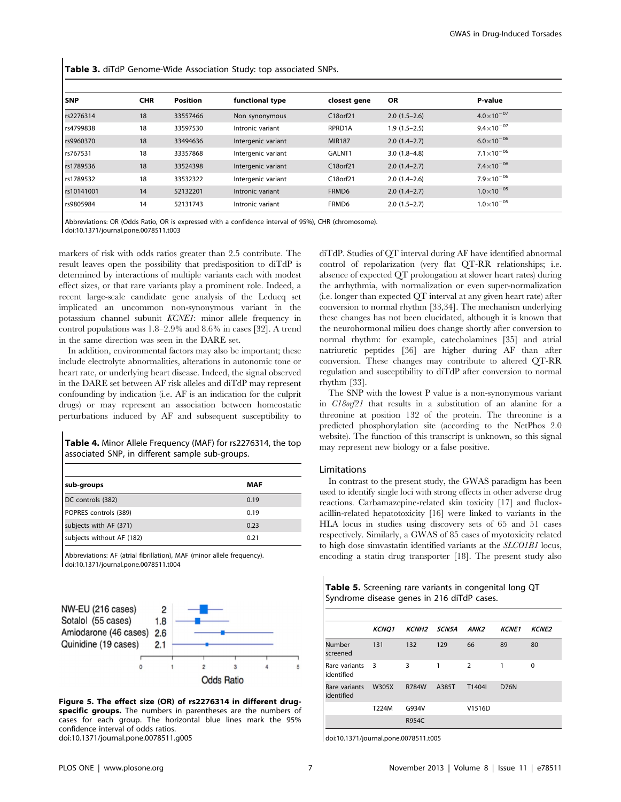Table 3. diTdP Genome-Wide Association Study: top associated SNPs.

| l snp<br><b>CHR</b><br><b>Position</b><br><b>OR</b><br>functional type<br>P-value<br>closest gene<br>$4.0\times10^{-07}$<br>18<br>C18orf21<br>rs2276314<br>33557466<br>$2.0(1.5-2.6)$<br>Non synonymous<br>$9.4\times10^{-07}$<br>18<br>rs4799838<br>RPRD1A<br>$1.9(1.5-2.5)$<br>33597530<br>Intronic variant<br>$6.0\times10^{-06}$<br>18<br>rs9960370<br>33494636<br>Intergenic variant<br><b>MIR187</b><br>$2.0(1.4-2.7)$<br>$7.1 \times 10^{-06}$<br>18<br>rs767531<br>GALNT1<br>$3.0(1.8-4.8)$<br>33357868<br>Intergenic variant<br>$7.4\times10^{-06}$<br>18<br>rs1789536<br>C18orf21<br>$2.0(1.4-2.7)$<br>33524398<br>Intergenic variant<br>$7.9\times10^{-06}$<br>18<br>C18orf21<br>rs1789532<br>33532322<br>Intergenic variant<br>$2.0(1.4-2.6)$<br>$1.0\times10^{-05}$<br>14<br>rs10141001<br>Intronic variant<br>FRMD6<br>52132201<br>$2.0(1.4-2.7)$<br>$1.0\times10^{-05}$<br>14<br>FRMD6<br>rs9805984<br>$2.0(1.5-2.7)$<br>52131743<br>Intronic variant |  |  |  |  |
|----------------------------------------------------------------------------------------------------------------------------------------------------------------------------------------------------------------------------------------------------------------------------------------------------------------------------------------------------------------------------------------------------------------------------------------------------------------------------------------------------------------------------------------------------------------------------------------------------------------------------------------------------------------------------------------------------------------------------------------------------------------------------------------------------------------------------------------------------------------------------------------------------------------------------------------------------------------------|--|--|--|--|
|                                                                                                                                                                                                                                                                                                                                                                                                                                                                                                                                                                                                                                                                                                                                                                                                                                                                                                                                                                      |  |  |  |  |
|                                                                                                                                                                                                                                                                                                                                                                                                                                                                                                                                                                                                                                                                                                                                                                                                                                                                                                                                                                      |  |  |  |  |
|                                                                                                                                                                                                                                                                                                                                                                                                                                                                                                                                                                                                                                                                                                                                                                                                                                                                                                                                                                      |  |  |  |  |
|                                                                                                                                                                                                                                                                                                                                                                                                                                                                                                                                                                                                                                                                                                                                                                                                                                                                                                                                                                      |  |  |  |  |
|                                                                                                                                                                                                                                                                                                                                                                                                                                                                                                                                                                                                                                                                                                                                                                                                                                                                                                                                                                      |  |  |  |  |
|                                                                                                                                                                                                                                                                                                                                                                                                                                                                                                                                                                                                                                                                                                                                                                                                                                                                                                                                                                      |  |  |  |  |
|                                                                                                                                                                                                                                                                                                                                                                                                                                                                                                                                                                                                                                                                                                                                                                                                                                                                                                                                                                      |  |  |  |  |
|                                                                                                                                                                                                                                                                                                                                                                                                                                                                                                                                                                                                                                                                                                                                                                                                                                                                                                                                                                      |  |  |  |  |
|                                                                                                                                                                                                                                                                                                                                                                                                                                                                                                                                                                                                                                                                                                                                                                                                                                                                                                                                                                      |  |  |  |  |

Abbreviations: OR (Odds Ratio, OR is expressed with a confidence interval of 95%), CHR (chromosome). doi:10.1371/journal.pone.0078511.t003

markers of risk with odds ratios greater than 2.5 contribute. The result leaves open the possibility that predisposition to diTdP is determined by interactions of multiple variants each with modest effect sizes, or that rare variants play a prominent role. Indeed, a recent large-scale candidate gene analysis of the Leducq set implicated an uncommon non-synonymous variant in the potassium channel subunit KCNE1: minor allele frequency in control populations was 1.8–2.9% and 8.6% in cases [32]. A trend in the same direction was seen in the DARE set.

In addition, environmental factors may also be important; these include electrolyte abnormalities, alterations in autonomic tone or heart rate, or underlying heart disease. Indeed, the signal observed in the DARE set between AF risk alleles and diTdP may represent confounding by indication (i.e. AF is an indication for the culprit drugs) or may represent an association between homeostatic perturbations induced by AF and subsequent susceptibility to

Table 4. Minor Allele Frequency (MAF) for rs2276314, the top associated SNP, in different sample sub-groups.

| sub-groups                | <b>MAF</b> |
|---------------------------|------------|
| DC controls (382)         | 0.19       |
| POPRES controls (389)     | 0.19       |
| subjects with AF (371)    | 0.23       |
| subjects without AF (182) | 0.21       |

Abbreviations: AF (atrial fibrillation), MAF (minor allele frequency). doi:10.1371/journal.pone.0078511.t004



Figure 5. The effect size (OR) of rs2276314 in different drugspecific groups. The numbers in parentheses are the numbers of cases for each group. The horizontal blue lines mark the 95% confidence interval of odds ratios. doi:10.1371/journal.pone.0078511.g005

diTdP. Studies of QT interval during AF have identified abnormal control of repolarization (very flat QT-RR relationships; i.e. absence of expected QT prolongation at slower heart rates) during the arrhythmia, with normalization or even super-normalization (i.e. longer than expected QT interval at any given heart rate) after conversion to normal rhythm [33,34]. The mechanism underlying these changes has not been elucidated, although it is known that the neurohormonal milieu does change shortly after conversion to normal rhythm: for example, catecholamines [35] and atrial natriuretic peptides [36] are higher during AF than after conversion. These changes may contribute to altered QT-RR regulation and susceptibility to diTdP after conversion to normal rhythm [33].

The SNP with the lowest P value is a non-synonymous variant in C18orf21 that results in a substitution of an alanine for a threonine at position 132 of the protein. The threonine is a predicted phosphorylation site (according to the NetPhos 2.0 website). The function of this transcript is unknown, so this signal may represent new biology or a false positive.

#### Limitations

In contrast to the present study, the GWAS paradigm has been used to identify single loci with strong effects in other adverse drug reactions. Carbamazepine-related skin toxicity [17] and flucloxacillin-related hepatotoxicity [16] were linked to variants in the HLA locus in studies using discovery sets of 65 and 51 cases respectively. Similarly, a GWAS of 85 cases of myotoxicity related to high dose simvastatin identified variants at the SLCO1B1 locus, encoding a statin drug transporter [18]. The present study also

| <b>Table 5.</b> Screening rare variants in congenital long QT |  |
|---------------------------------------------------------------|--|
| Syndrome disease genes in 216 diTdP cases.                    |  |

|                             | <b>KCNO1</b> | KCNH <sub>2</sub> SCN5A |       | ANK2           | <b>KCNE1</b> | <b>KCNE2</b> |
|-----------------------------|--------------|-------------------------|-------|----------------|--------------|--------------|
| Number<br>screened          | 131          | 132                     | 129   | 66             | 89           | 80           |
| Rare variants<br>identified | $_{\rm 3}$   | 3                       | 1     | $\overline{2}$ | 1            | 0            |
| Rare variants<br>identified | W305X        | <b>R784W</b>            | A385T | T1404I         | <b>D76N</b>  |              |
|                             | T224M        | G934V                   |       | V1516D         |              |              |
|                             |              | R954C                   |       |                |              |              |

doi:10.1371/journal.pone.0078511.t005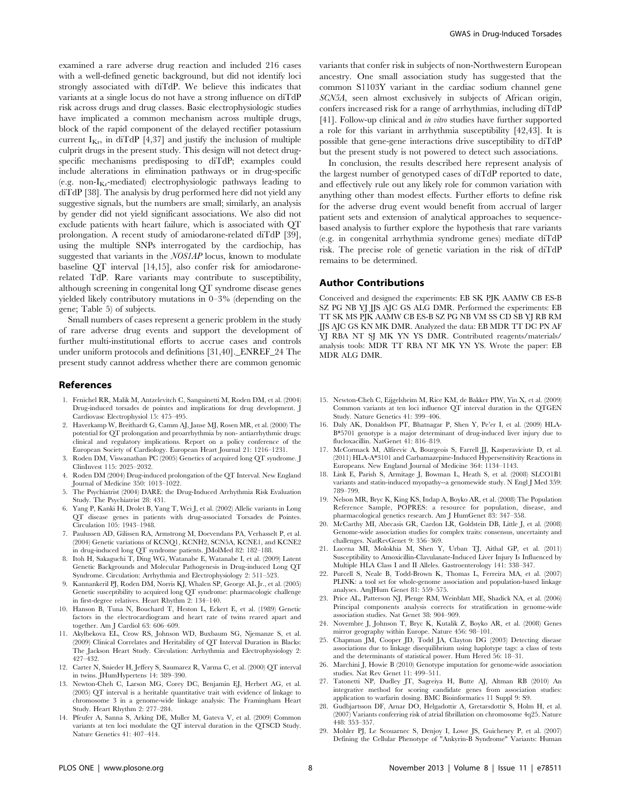examined a rare adverse drug reaction and included 216 cases with a well-defined genetic background, but did not identify loci strongly associated with diTdP. We believe this indicates that variants at a single locus do not have a strong influence on diTdP risk across drugs and drug classes. Basic electrophysiologic studies have implicated a common mechanism across multiple drugs, block of the rapid component of the delayed rectifier potassium current  $I_{K_r}$ , in diTdP [4,37] and justify the inclusion of multiple culprit drugs in the present study. This design will not detect drugspecific mechanisms predisposing to diTdP; examples could include alterations in elimination pathways or in drug-specific (e.g. non- $I_{Kr}$ -mediated) electrophysiologic pathways leading to diTdP [38]. The analysis by drug performed here did not yield any suggestive signals, but the numbers are small; similarly, an analysis by gender did not yield significant associations. We also did not exclude patients with heart failure, which is associated with QT prolongation. A recent study of amiodarone-related diTdP [39], using the multiple SNPs interrogated by the cardiochip, has suggested that variants in the NOS1AP locus, known to modulate baseline QT interval [14,15], also confer risk for amiodaronerelated TdP. Rare variants may contribute to susceptibility, although screening in congenital long QT syndrome disease genes yielded likely contributory mutations in 0–3% (depending on the gene; Table 5) of subjects.

Small numbers of cases represent a generic problem in the study of rare adverse drug events and support the development of further multi-institutional efforts to accrue cases and controls under uniform protocols and definitions [31,40].\_ENREF\_24 The present study cannot address whether there are common genomic

#### References

- 1. Fenichel RR, Malik M, Antzelevitch C, Sanguinetti M, Roden DM, et al. (2004) Drug-induced torsades de pointes and implications for drug development. J Cardiovasc Electrophysiol 15: 475–495.
- 2. Haverkamp W, Breithardt G, Camm AJ, Janse MJ, Rosen MR, et al. (2000) The potential for QT prolongation and proarrhythmia by non- antiarrhythmic drugs: clinical and regulatory implications. Report on a policy conference of the European Society of Cardiology. European Heart Journal 21: 1216–1231.
- 3. Roden DM, Viswanathan PC (2005) Genetics of acquired long QT syndrome. J ClinInvest 115: 2025–2032.
- 4. Roden DM (2004) Drug-induced prolongation of the QT Interval. New England Journal of Medicine 350: 1013–1022.
- 5. The Psychiatrist (2004) DARE: the Drug-Induced Arrhythmia Risk Evaluation Study. The Psychiatrist 28: 431.
- 6. Yang P, Kanki H, Drolet B, Yang T, Wei J, et al. (2002) Allelic variants in Long QT disease genes in patients with drug-associated Torsades de Pointes. Circulation 105: 1943–1948.
- 7. Paulussen AD, Gilissen RA, Armstrong M, Doevendans PA, Verhasselt P, et al. (2004) Genetic variations of KCNQ1, KCNH2, SCN5A, KCNE1, and KCNE2 in drug-induced long QT syndrome patients. JMolMed 82: 182–188.
- 8. Itoh H, Sakaguchi T, Ding WG, Watanabe E, Watanabe I, et al. (2009) Latent Genetic Backgrounds and Molecular Pathogenesis in Drug-induced Long QT Syndrome. Circulation: Arrhythmia and Electrophysiology 2: 511–523.
- 9. Kannankeril PJ, Roden DM, Norris KJ, Whalen SP, George AL Jr., et al. (2005) Genetic susceptibility to acquired long QT syndrome: pharmacologic challenge in first-degree relatives. Heart Rhythm 2: 134–140.
- 10. Hanson B, Tuna N, Bouchard T, Heston L, Eckert E, et al. (1989) Genetic factors in the electrocardiogram and heart rate of twins reared apart and together. Am J Cardiol 63: 606–609.
- 11. Akylbekova EL, Crow RS, Johnson WD, Buxbaum SG, Njemanze S, et al. (2009) Clinical Correlates and Heritability of QT Interval Duration in Blacks: The Jackson Heart Study. Circulation: Arrhythmia and Electrophysiology 2: 427–432.
- 12. Carter N, Snieder H, Jeffery S, Saumarez R, Varma C, et al. (2000) QT interval in twins. JHumHypertens 14: 389–390.
- 13. Newton-Cheh C, Larson MG, Corey DC, Benjamin EJ, Herbert AG, et al. (2005) QT interval is a heritable quantitative trait with evidence of linkage to chromosome 3 in a genome-wide linkage analysis: The Framingham Heart Study. Heart Rhythm 2: 277–284.
- 14. Pfeufer A, Sanna S, Arking DE, Muller M, Gateva V, et al. (2009) Common variants at ten loci modulate the QT interval duration in the QTSCD Study. Nature Genetics 41: 407–414.

variants that confer risk in subjects of non-Northwestern European ancestry. One small association study has suggested that the common S1103Y variant in the cardiac sodium channel gene SCN5A, seen almost exclusively in subjects of African origin, confers increased risk for a range of arrhythmias, including diTdP [41]. Follow-up clinical and in vitro studies have further supported a role for this variant in arrhythmia susceptibility [42,43]. It is possible that gene-gene interactions drive susceptibility to diTdP but the present study is not powered to detect such associations.

In conclusion, the results described here represent analysis of the largest number of genotyped cases of diTdP reported to date, and effectively rule out any likely role for common variation with anything other than modest effects. Further efforts to define risk for the adverse drug event would benefit from accrual of larger patient sets and extension of analytical approaches to sequencebased analysis to further explore the hypothesis that rare variants (e.g. in congenital arrhythmia syndrome genes) mediate diTdP risk. The precise role of genetic variation in the risk of diTdP remains to be determined.

#### Author Contributions

Conceived and designed the experiments: EB SK PJK AAMW CB ES-B SZ PG NB YJ JJS AJC GS ALG DMR. Performed the experiments: EB TT SK MS PJK AAMW CB ES-B SZ PG NB VM SS CD SB YJ RB RM JJS AJC GS KN MK DMR. Analyzed the data: EB MDR TT DC PN AF YJ RBA NT SJ MK YN YS DMR. Contributed reagents/materials/ analysis tools: MDR TT RBA NT MK YN YS. Wrote the paper: EB MDR ALG DMR.

- 15. Newton-Cheh C, Eijgelsheim M, Rice KM, de Bakker PIW, Yin X, et al. (2009) Common variants at ten loci influence QT interval duration in the QTGEN Study. Nature Genetics 41: 399–406.
- 16. Daly AK, Donaldson PT, Bhatnagar P, Shen Y, Pe'er I, et al. (2009) HLA-B\*5701 genotype is a major determinant of drug-induced liver injury due to flucloxacillin. NatGenet 41: 816–819.
- 17. McCormack M, Alfirevic A, Bourgeois S, Farrell JJ, Kasperaviciute D, et al. (2011) HLA-A\*3101 and Carbamazepine-Induced Hypersensitivity Reactions in Europeans. New England Journal of Medicine 364: 1134–1143.
- 18. Link E, Parish S, Armitage J, Bowman L, Heath S, et al. (2008) SLCO1B1 variants and statin-induced myopathy--a genomewide study. N Engl J Med 359: 789–799.
- 19. Nelson MR, Bryc K, King KS, Indap A, Boyko AR, et al. (2008) The Population Reference Sample, POPRES: a resource for population, disease, and pharmacological genetics research. Am J HumGenet 83: 347–358.
- 20. McCarthy MI, Abecasis GR, Cardon LR, Goldstein DB, Little J, et al. (2008) Genome-wide association studies for complex traits: consensus, uncertainty and challenges. NatRevGenet 9: 356–369.
- 21. Lucena MI, Molokhia M, Shen Y, Urban TJ, Aithal GP, et al. (2011) Susceptibility to Amoxicillin-Clavulanate-Induced Liver Injury Is Influenced by Multiple HLA Class I and II Alleles. Gastroenterology 141: 338–347.
- 22. Purcell S, Neale B, Todd-Brown K, Thomas L, Ferreira MA, et al. (2007) PLINK: a tool set for whole-genome association and population-based linkage analyses. AmJHum Genet 81: 559–575.
- 23. Price AL, Patterson NJ, Plenge RM, Weinblatt ME, Shadick NA, et al. (2006) Principal components analysis corrects for stratification in genome-wide association studies. Nat Genet 38: 904–909.
- 24. Novembre J, Johnson T, Bryc K, Kutalik Z, Boyko AR, et al. (2008) Genes mirror geography within Europe. Nature 456: 98–101.
- 25. Chapman JM, Cooper JD, Todd JA, Clayton DG (2003) Detecting disease associations due to linkage disequilibrium using haplotype tags: a class of tests and the determinants of statistical power. Hum Hered 56: 18–31.
- 26. Marchini J, Howie B (2010) Genotype imputation for genome-wide association studies. Nat Rev Genet 11: 499–511.
- 27. Tatonetti NP, Dudley JT, Sagreiya H, Butte AJ, Altman RB (2010) An integrative method for scoring candidate genes from association studies: application to warfarin dosing. BMC Bioinformatics 11 Suppl 9: S9.
- 28. Gudbjartsson DF, Arnar DO, Helgadottir A, Gretarsdottir S, Holm H, et al. (2007) Variants conferring risk of atrial fibrillation on chromosome 4q25. Nature 448: 353–357.
- 29. Mohler PJ, Le Scouarnec S, Denjoy I, Lowe JS, Guicheney P, et al. (2007) Defining the Cellular Phenotype of "Ankyrin-B Syndrome" Variants: Human